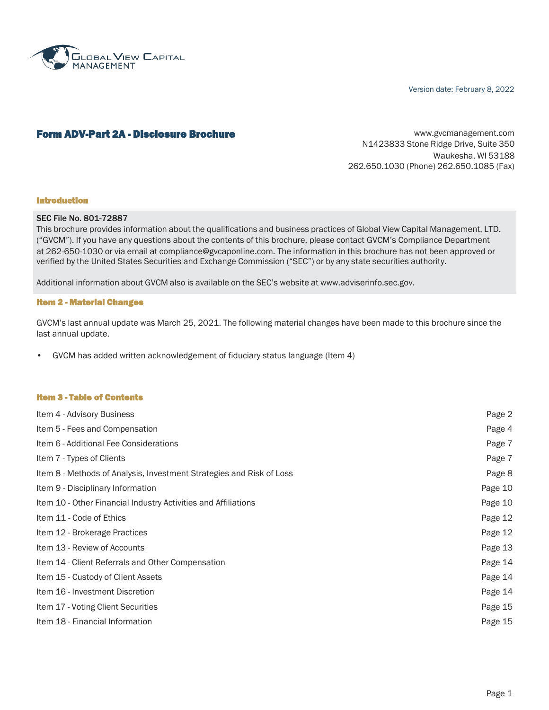

Version date: February 8, 2022

### **Form ADV-Part 2A - Disclosure Brochure Example 20 and Service Community** [www.gvcmanagement.com](http://www.gvcmanagement.com/)

N1423833 Stone Ridge Drive, Suite 350 Waukesha, WI 53188 262.650.1030 (Phone) 262.650.1085 (Fax)

#### Introduction

#### SEC File No. 801-72887

This brochure provides information about the qualifications and business practices of Global View Capital Management, LTD. ("GVCM"). If you have any questions about the contents of this brochure, please contact GVCM's Compliance Department at 262-650-1030 or via email at [compliance@gvcaponline.com.](mailto:compliance@gvcaponline.com) The information in this brochure has not been approved or verified by the United States Securities and Exchange Commission ("SEC") or by any state securities authority.

Additional information about GVCM also is available on the SEC's website at [www.adviserinfo.sec.gov.](http://www.adviserinfo.sec.gov/)

#### Item 2 - Material Changes

GVCM's last annual update was March 25, 2021. The following material changes have been made to this brochure since the last annual update.

• GVCM has added written acknowledgement of fiduciary status language (Item 4)

#### Item 3 - Table of Contents

| Item 4 - Advisory Business                                           | Page 2  |
|----------------------------------------------------------------------|---------|
| Item 5 - Fees and Compensation                                       | Page 4  |
| Item 6 - Additional Fee Considerations                               | Page 7  |
| Item 7 - Types of Clients                                            | Page 7  |
| Item 8 - Methods of Analysis, Investment Strategies and Risk of Loss | Page 8  |
| Item 9 - Disciplinary Information                                    | Page 10 |
| Item 10 - Other Financial Industry Activities and Affiliations       | Page 10 |
| Item 11 - Code of Ethics                                             | Page 12 |
| Item 12 - Brokerage Practices                                        | Page 12 |
| Item 13 - Review of Accounts                                         | Page 13 |
| Item 14 - Client Referrals and Other Compensation                    | Page 14 |
| Item 15 - Custody of Client Assets                                   | Page 14 |
| Item 16 - Investment Discretion                                      | Page 14 |
| Item 17 - Voting Client Securities                                   | Page 15 |
| Item 18 - Financial Information                                      | Page 15 |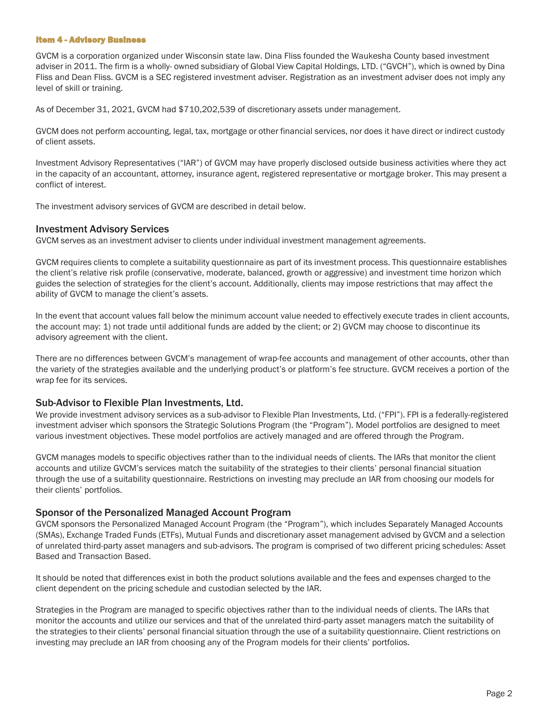#### Item 4 - Advisory Business

GVCM is a corporation organized under Wisconsin state law. Dina Fliss founded the Waukesha County based investment adviser in 2011. The firm is a wholly- owned subsidiary of Global View Capital Holdings, LTD. ("GVCH"), which is owned by Dina Fliss and Dean Fliss. GVCM is a SEC registered investment adviser. Registration as an investment adviser does not imply any level of skill or training.

As of December 31, 2021, GVCM had \$710,202,539 of discretionary assets under management.

GVCM does not perform accounting, legal, tax, mortgage or other financial services, nor does it have direct or indirect custody of client assets.

Investment Advisory Representatives ("IAR") of GVCM may have properly disclosed outside business activities where they act in the capacity of an accountant, attorney, insurance agent, registered representative or mortgage broker. This may present a conflict of interest.

The investment advisory services of GVCM are described in detail below.

### Investment Advisory Services

GVCM serves as an investment adviser to clients under individual investment management agreements.

GVCM requires clients to complete a suitability questionnaire as part of its investment process. This questionnaire establishes the client's relative risk profile (conservative, moderate, balanced, growth or aggressive) and investment time horizon which guides the selection of strategies for the client's account. Additionally, clients may impose restrictions that may affect the ability of GVCM to manage the client's assets.

In the event that account values fall below the minimum account value needed to effectively execute trades in client accounts, the account may: 1) not trade until additional funds are added by the client; or 2) GVCM may choose to discontinue its advisory agreement with the client.

There are no differences between GVCM's management of wrap-fee accounts and management of other accounts, other than the variety of the strategies available and the underlying product's or platform's fee structure. GVCM receives a portion of the wrap fee for its services.

## Sub-Advisor to Flexible Plan Investments, Ltd.

We provide investment advisory services as a sub-advisor to Flexible Plan Investments, Ltd. ("FPI"). FPI is a federally-registered investment adviser which sponsors the Strategic Solutions Program (the "Program"). Model portfolios are designed to meet various investment objectives. These model portfolios are actively managed and are offered through the Program.

GVCM manages models to specific objectives rather than to the individual needs of clients. The IARs that monitor the client accounts and utilize GVCM's services match the suitability of the strategies to their clients' personal financial situation through the use of a suitability questionnaire. Restrictions on investing may preclude an IAR from choosing our models for their clients' portfolios.

## Sponsor of the Personalized Managed Account Program

GVCM sponsors the Personalized Managed Account Program (the "Program"), which includes Separately Managed Accounts (SMAs), Exchange Traded Funds (ETFs), Mutual Funds and discretionary asset management advised by GVCM and a selection of unrelated third-party asset managers and sub-advisors. The program is comprised of two different pricing schedules: Asset Based and Transaction Based.

It should be noted that differences exist in both the product solutions available and the fees and expenses charged to the client dependent on the pricing schedule and custodian selected by the IAR.

Strategies in the Program are managed to specific objectives rather than to the individual needs of clients. The IARs that monitor the accounts and utilize our services and that of the unrelated third-party asset managers match the suitability of the strategies to their clients' personal financial situation through the use of a suitability questionnaire. Client restrictions on investing may preclude an IAR from choosing any of the Program models for their clients' portfolios.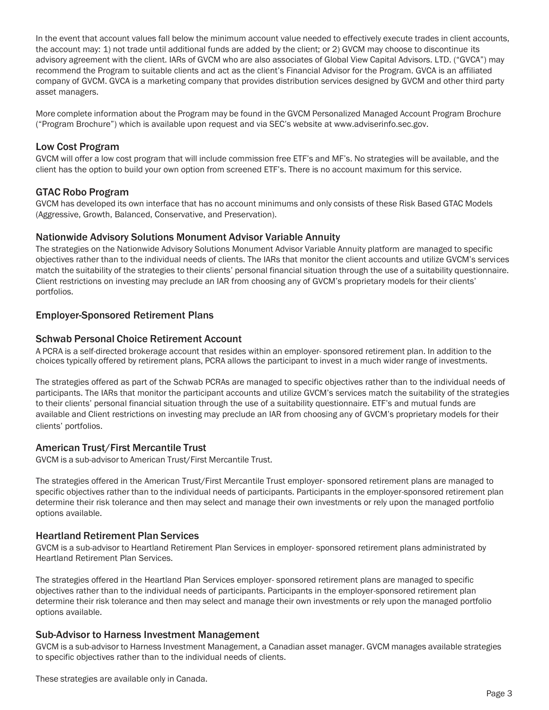In the event that account values fall below the minimum account value needed to effectively execute trades in client accounts, the account may: 1) not trade until additional funds are added by the client; or 2) GVCM may choose to discontinue its advisory agreement with the client. IARs of GVCM who are also associates of Global View Capital Advisors. LTD. ("GVCA") may recommend the Program to suitable clients and act as the client's Financial Advisor for the Program. GVCA is an affiliated company of GVCM. GVCA is a marketing company that provides distribution services designed by GVCM and other third party asset managers.

More complete information about the Program may be found in the GVCM Personalized Managed Account Program Brochure ("Program Brochure") which is available upon request and via SEC's website at [www.adviserinfo.sec.gov.](http://www.adviserinfo.sec.gov/)

## Low Cost Program

GVCM will offer a low cost program that will include commission free ETF's and MF's. No strategies will be available, and the client has the option to build your own option from screened ETF's. There is no account maximum for this service.

## GTAC Robo Program

GVCM has developed its own interface that has no account minimums and only consists of these Risk Based GTAC Models (Aggressive, Growth, Balanced, Conservative, and Preservation).

### Nationwide Advisory Solutions Monument Advisor Variable Annuity

The strategies on the Nationwide Advisory Solutions Monument Advisor Variable Annuity platform are managed to specific objectives rather than to the individual needs of clients. The IARs that monitor the client accounts and utilize GVCM's services match the suitability of the strategies to their clients' personal financial situation through the use of a suitability questionnaire. Client restrictions on investing may preclude an IAR from choosing any of GVCM's proprietary models for their clients' portfolios.

## Employer-Sponsored Retirement Plans

### Schwab Personal Choice Retirement Account

A PCRA is a self-directed brokerage account that resides within an employer- sponsored retirement plan. In addition to the choices typically offered by retirement plans, PCRA allows the participant to invest in a much wider range of investments.

The strategies offered as part of the Schwab PCRAs are managed to specific objectives rather than to the individual needs of participants. The IARs that monitor the participant accounts and utilize GVCM's services match the suitability of the strategies to their clients' personal financial situation through the use of a suitability questionnaire. ETF's and mutual funds are available and Client restrictions on investing may preclude an IAR from choosing any of GVCM's proprietary models for their clients' portfolios.

## American Trust/First Mercantile Trust

GVCM is a sub-advisor to American Trust/First Mercantile Trust.

The strategies offered in the American Trust/First Mercantile Trust employer- sponsored retirement plans are managed to specific objectives rather than to the individual needs of participants. Participants in the employer-sponsored retirement plan determine their risk tolerance and then may select and manage their own investments or rely upon the managed portfolio options available.

## Heartland Retirement Plan Services

GVCM is a sub-advisor to Heartland Retirement Plan Services in employer- sponsored retirement plans administrated by Heartland Retirement Plan Services.

The strategies offered in the Heartland Plan Services employer- sponsored retirement plans are managed to specific objectives rather than to the individual needs of participants. Participants in the employer-sponsored retirement plan determine their risk tolerance and then may select and manage their own investments or rely upon the managed portfolio options available.

#### Sub-Advisor to Harness Investment Management

GVCM is a sub-advisor to Harness Investment Management, a Canadian asset manager. GVCM manages available strategies to specific objectives rather than to the individual needs of clients.

These strategies are available only in Canada.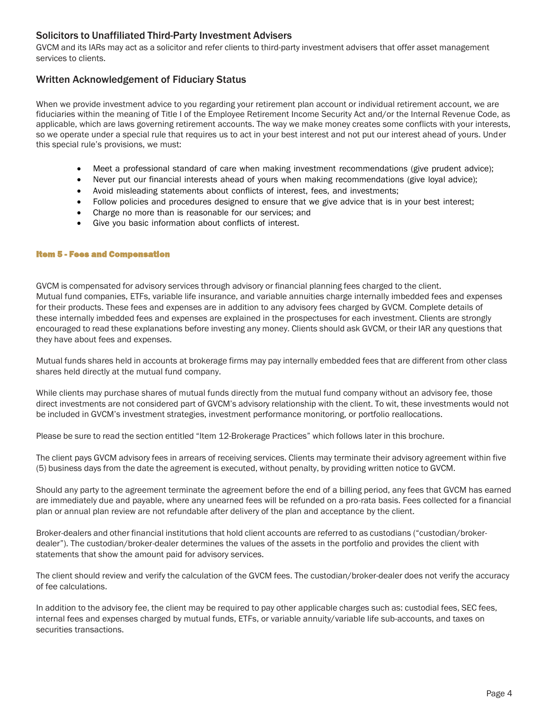# Solicitors to Unaffiliated Third-Party Investment Advisers

GVCM and its IARs may act as a solicitor and refer clients to third-party investment advisers that offer asset management services to clients.

# Written Acknowledgement of Fiduciary Status

When we provide investment advice to you regarding your retirement plan account or individual retirement account, we are fiduciaries within the meaning of Title I of the Employee Retirement Income Security Act and/or the Internal Revenue Code, as applicable, which are laws governing retirement accounts. The way we make money creates some conflicts with your interests, so we operate under a special rule that requires us to act in your best interest and not put our interest ahead of yours. Under this special rule's provisions, we must:

- Meet a professional standard of care when making investment recommendations (give prudent advice);
- Never put our financial interests ahead of yours when making recommendations (give loyal advice);
- Avoid misleading statements about conflicts of interest, fees, and investments;
- Follow policies and procedures designed to ensure that we give advice that is in your best interest;
- Charge no more than is reasonable for our services; and
- Give you basic information about conflicts of interest.

#### Item 5 - Fees and Compensation

GVCM is compensated for advisory services through advisory or financial planning fees charged to the client. Mutual fund companies, ETFs, variable life insurance, and variable annuities charge internally imbedded fees and expenses for their products. These fees and expenses are in addition to any advisory fees charged by GVCM. Complete details of these internally imbedded fees and expenses are explained in the prospectuses for each investment. Clients are strongly encouraged to read these explanations before investing any money. Clients should ask GVCM, or their IAR any questions that they have about fees and expenses.

Mutual funds shares held in accounts at brokerage firms may pay internally embedded fees that are different from other class shares held directly at the mutual fund company.

While clients may purchase shares of mutual funds directly from the mutual fund company without an advisory fee, those direct investments are not considered part of GVCM's advisory relationship with the client. To wit, these investments would not be included in GVCM's investment strategies, investment performance monitoring, or portfolio reallocations.

Please be sure to read the section entitled "Item 12-Brokerage Practices" which follows later in this brochure.

The client pays GVCM advisory fees in arrears of receiving services. Clients may terminate their advisory agreement within five (5) business days from the date the agreement is executed, without penalty, by providing written notice to GVCM.

Should any party to the agreement terminate the agreement before the end of a billing period, any fees that GVCM has earned are immediately due and payable, where any unearned fees will be refunded on a pro-rata basis. Fees collected for a financial plan or annual plan review are not refundable after delivery of the plan and acceptance by the client.

Broker-dealers and other financial institutions that hold client accounts are referred to as custodians ("custodian/brokerdealer"). The custodian/broker-dealer determines the values of the assets in the portfolio and provides the client with statements that show the amount paid for advisory services.

The client should review and verify the calculation of the GVCM fees. The custodian/broker-dealer does not verify the accuracy of fee calculations.

In addition to the advisory fee, the client may be required to pay other applicable charges such as: custodial fees, SEC fees, internal fees and expenses charged by mutual funds, ETFs, or variable annuity/variable life sub-accounts, and taxes on securities transactions.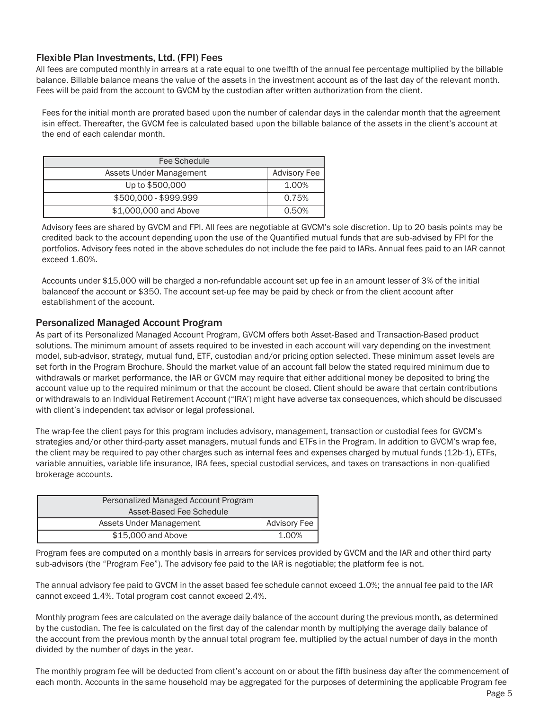# Flexible Plan Investments, Ltd. (FPI) Fees

All fees are computed monthly in arrears at a rate equal to one twelfth of the annual fee percentage multiplied by the billable balance. Billable balance means the value of the assets in the investment account as of the last day of the relevant month. Fees will be paid from the account to GVCM by the custodian after written authorization from the client.

Fees for the initial month are prorated based upon the number of calendar days in the calendar month that the agreement isin effect. Thereafter, the GVCM fee is calculated based upon the billable balance of the assets in the client's account at the end of each calendar month.

| Fee Schedule            |                     |
|-------------------------|---------------------|
| Assets Under Management | <b>Advisory Fee</b> |
| Up to \$500,000         | 1.00%               |
| \$500,000 - \$999,999   | 0.75%               |
| \$1,000,000 and Above   | 0.50%               |

Advisory fees are shared by GVCM and FPI. All fees are negotiable at GVCM's sole discretion. Up to 20 basis points may be credited back to the account depending upon the use of the Quantified mutual funds that are sub-advised by FPI for the portfolios. Advisory fees noted in the above schedules do not include the fee paid to IARs. Annual fees paid to an IAR cannot exceed 1.60%.

Accounts under \$15,000 will be charged a non-refundable account set up fee in an amount lesser of 3% of the initial balanceof the account or \$350. The account set-up fee may be paid by check or from the client account after establishment of the account.

## Personalized Managed Account Program

As part of its Personalized Managed Account Program, GVCM offers both Asset-Based and Transaction-Based product solutions. The minimum amount of assets required to be invested in each account will vary depending on the investment model, sub-advisor, strategy, mutual fund, ETF, custodian and/or pricing option selected. These minimum asset levels are set forth in the Program Brochure. Should the market value of an account fall below the stated required minimum due to withdrawals or market performance, the IAR or GVCM may require that either additional money be deposited to bring the account value up to the required minimum or that the account be closed. Client should be aware that certain contributions or withdrawals to an Individual Retirement Account ("IRA') might have adverse tax consequences, which should be discussed with client's independent tax advisor or legal professional.

The wrap-fee the client pays for this program includes advisory, management, transaction or custodial fees for GVCM's strategies and/or other third-party asset managers, mutual funds and ETFs in the Program. In addition to GVCM's wrap fee, the client may be required to pay other charges such as internal fees and expenses charged by mutual funds (12b-1), ETFs, variable annuities, variable life insurance, IRA fees, special custodial services, and taxes on transactions in non-qualified brokerage accounts.

| Personalized Managed Account Program |                     |
|--------------------------------------|---------------------|
| Asset-Based Fee Schedule             |                     |
| Assets Under Management              | <b>Advisory Fee</b> |
| \$15,000 and Above                   | 1.00%               |

Program fees are computed on a monthly basis in arrears for services provided by GVCM and the IAR and other third party sub-advisors (the "Program Fee"). The advisory fee paid to the IAR is negotiable; the platform fee is not.

The annual advisory fee paid to GVCM in the asset based fee schedule cannot exceed 1.0%; the annual fee paid to the IAR cannot exceed 1.4%. Total program cost cannot exceed 2.4%.

Monthly program fees are calculated on the average daily balance of the account during the previous month, as determined by the custodian. The fee is calculated on the first day of the calendar month by multiplying the average daily balance of the account from the previous month by the annual total program fee, multiplied by the actual number of days in the month divided by the number of days in the year.

The monthly program fee will be deducted from client's account on or about the fifth business day after the commencement of each month. Accounts in the same household may be aggregated for the purposes of determining the applicable Program fee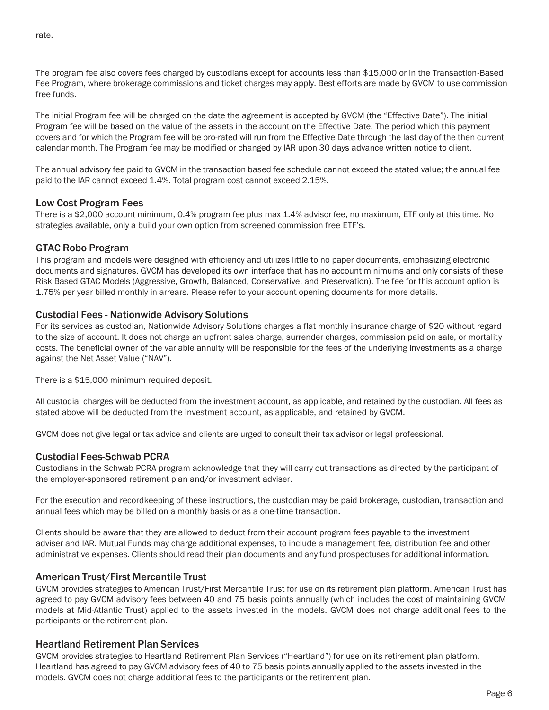rate.

The program fee also covers fees charged by custodians except for accounts less than \$15,000 or in the Transaction-Based Fee Program, where brokerage commissions and ticket charges may apply. Best efforts are made by GVCM to use commission free funds.

The initial Program fee will be charged on the date the agreement is accepted by GVCM (the "Effective Date"). The initial Program fee will be based on the value of the assets in the account on the Effective Date. The period which this payment covers and for which the Program fee will be pro-rated will run from the Effective Date through the last day of the then current calendar month. The Program fee may be modified or changed by IAR upon 30 days advance written notice to client.

The annual advisory fee paid to GVCM in the transaction based fee schedule cannot exceed the stated value; the annual fee paid to the IAR cannot exceed 1.4%. Total program cost cannot exceed 2.15%.

## Low Cost Program Fees

There is a \$2,000 account minimum, 0.4% program fee plus max 1.4% advisor fee, no maximum, ETF only at this time. No strategies available, only a build your own option from screened commission free ETF's.

## GTAC Robo Program

This program and models were designed with efficiency and utilizes little to no paper documents, emphasizing electronic documents and signatures. GVCM has developed its own interface that has no account minimums and only consists of these Risk Based GTAC Models (Aggressive, Growth, Balanced, Conservative, and Preservation). The fee for this account option is 1.75% per year billed monthly in arrears. Please refer to your account opening documents for more details.

## Custodial Fees - Nationwide Advisory Solutions

For its services as custodian, Nationwide Advisory Solutions charges a flat monthly insurance charge of \$20 without regard to the size of account. It does not charge an upfront sales charge, surrender charges, commission paid on sale, or mortality costs. The beneficial owner of the variable annuity will be responsible for the fees of the underlying investments as a charge against the Net Asset Value ("NAV").

There is a \$15,000 minimum required deposit.

All custodial charges will be deducted from the investment account, as applicable, and retained by the custodian. All fees as stated above will be deducted from the investment account, as applicable, and retained by GVCM.

GVCM does not give legal or tax advice and clients are urged to consult their tax advisor or legal professional.

## Custodial Fees-Schwab PCRA

Custodians in the Schwab PCRA program acknowledge that they will carry out transactions as directed by the participant of the employer-sponsored retirement plan and/or investment adviser.

For the execution and recordkeeping of these instructions, the custodian may be paid brokerage, custodian, transaction and annual fees which may be billed on a monthly basis or as a one-time transaction.

Clients should be aware that they are allowed to deduct from their account program fees payable to the investment adviser and IAR. Mutual Funds may charge additional expenses, to include a management fee, distribution fee and other administrative expenses. Clients should read their plan documents and any fund prospectuses for additional information.

## American Trust/First Mercantile Trust

GVCM provides strategies to American Trust/First Mercantile Trust for use on its retirement plan platform. American Trust has agreed to pay GVCM advisory fees between 40 and 75 basis points annually (which includes the cost of maintaining GVCM models at Mid-Atlantic Trust) applied to the assets invested in the models. GVCM does not charge additional fees to the participants or the retirement plan.

## Heartland Retirement Plan Services

GVCM provides strategies to Heartland Retirement Plan Services ("Heartland") for use on its retirement plan platform. Heartland has agreed to pay GVCM advisory fees of 40 to 75 basis points annually applied to the assets invested in the models. GVCM does not charge additional fees to the participants or the retirement plan.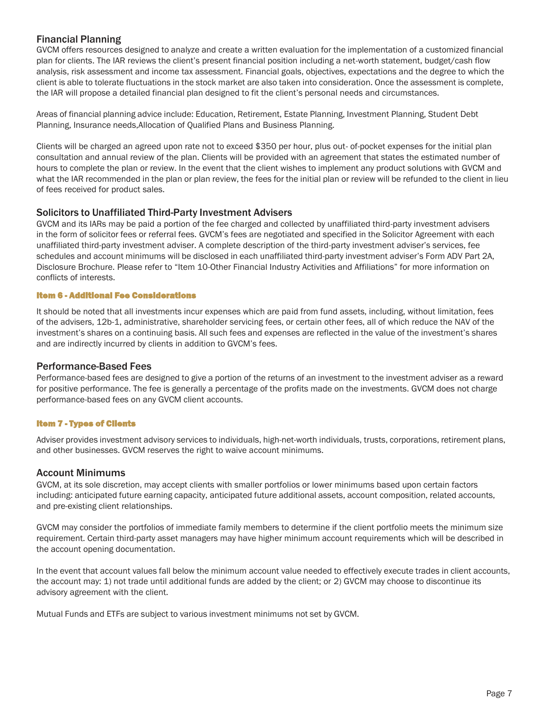# Financial Planning

GVCM offers resources designed to analyze and create a written evaluation for the implementation of a customized financial plan for clients. The IAR reviews the client's present financial position including a net-worth statement, budget/cash flow analysis, risk assessment and income tax assessment. Financial goals, objectives, expectations and the degree to which the client is able to tolerate fluctuations in the stock market are also taken into consideration. Once the assessment is complete, the IAR will propose a detailed financial plan designed to fit the client's personal needs and circumstances.

Areas of financial planning advice include: Education, Retirement, Estate Planning, Investment Planning, Student Debt Planning, Insurance needs,Allocation of Qualified Plans and Business Planning.

Clients will be charged an agreed upon rate not to exceed \$350 per hour, plus out- of-pocket expenses for the initial plan consultation and annual review of the plan. Clients will be provided with an agreement that states the estimated number of hours to complete the plan or review. In the event that the client wishes to implement any product solutions with GVCM and what the IAR recommended in the plan or plan review, the fees for the initial plan or review will be refunded to the client in lieu of fees received for product sales.

## Solicitors to Unaffiliated Third-Party Investment Advisers

GVCM and its IARs may be paid a portion of the fee charged and collected by unaffiliated third-party investment advisers in the form of solicitor fees or referral fees. GVCM's fees are negotiated and specified in the Solicitor Agreement with each unaffiliated third-party investment adviser. A complete description of the third-party investment adviser's services, fee schedules and account minimums will be disclosed in each unaffiliated third-party investment adviser's Form ADV Part 2A, Disclosure Brochure. Please refer to "Item 10-Other Financial Industry Activities and Affiliations" for more information on conflicts of interests.

#### Item 6 - Additional Fee Considerations

It should be noted that all investments incur expenses which are paid from fund assets, including, without limitation, fees of the advisers, 12b-1, administrative, shareholder servicing fees, or certain other fees, all of which reduce the NAV of the investment's shares on a continuing basis. All such fees and expenses are reflected in the value of the investment's shares and are indirectly incurred by clients in addition to GVCM's fees.

## Performance-Based Fees

Performance-based fees are designed to give a portion of the returns of an investment to the investment adviser as a reward for positive performance. The fee is generally a percentage of the profits made on the investments. GVCM does not charge performance-based fees on any GVCM client accounts.

## Item 7 - Types of Clients

Adviser provides investment advisory services to individuals, high-net-worth individuals, trusts, corporations, retirement plans, and other businesses. GVCM reserves the right to waive account minimums.

## Account Minimums

GVCM, at its sole discretion, may accept clients with smaller portfolios or lower minimums based upon certain factors including: anticipated future earning capacity, anticipated future additional assets, account composition, related accounts, and pre-existing client relationships.

GVCM may consider the portfolios of immediate family members to determine if the client portfolio meets the minimum size requirement. Certain third-party asset managers may have higher minimum account requirements which will be described in the account opening documentation.

In the event that account values fall below the minimum account value needed to effectively execute trades in client accounts, the account may: 1) not trade until additional funds are added by the client; or 2) GVCM may choose to discontinue its advisory agreement with the client.

Mutual Funds and ETFs are subject to various investment minimums not set by GVCM.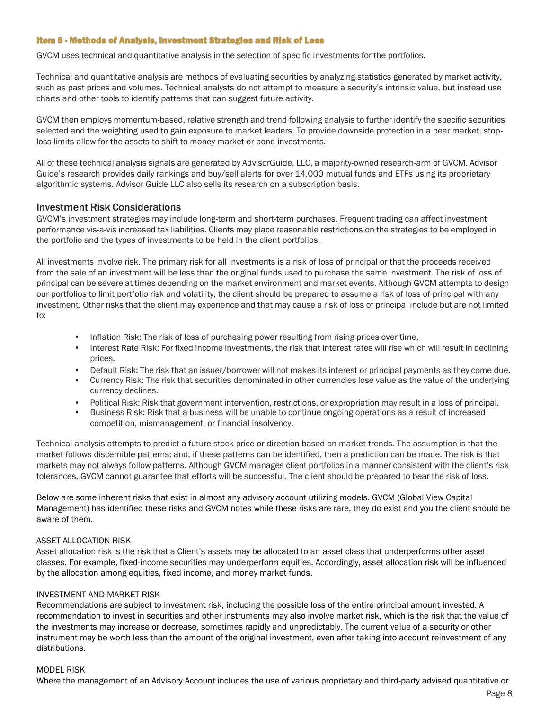#### Item 8 - Methods of Analysis, Investment Strategies and Risk of Loss

GVCM uses technical and quantitative analysis in the selection of specific investments for the portfolios.

Technical and quantitative analysis are methods of evaluating securities by analyzing statistics generated by market activity, such as past prices and volumes. Technical analysts do not attempt to measure a security's intrinsic value, but instead use charts and other tools to identify patterns that can suggest future activity.

GVCM then employs momentum-based, relative strength and trend following analysis to further identify the specific securities selected and the weighting used to gain exposure to market leaders. To provide downside protection in a bear market, stoploss limits allow for the assets to shift to money market or bond investments.

All of these technical analysis signals are generated by AdvisorGuide, LLC, a majority-owned research-arm of GVCM. Advisor Guide's research provides daily rankings and buy/sell alerts for over 14,000 mutual funds and ETFs using its proprietary algorithmic systems. Advisor Guide LLC also sells its research on a subscription basis.

### Investment Risk Considerations

GVCM's investment strategies may include long-term and short-term purchases. Frequent trading can affect investment performance vis-a-vis increased tax liabilities. Clients may place reasonable restrictions on the strategies to be employed in the portfolio and the types of investments to be held in the client portfolios.

All investments involve risk. The primary risk for all investments is a risk of loss of principal or that the proceeds received from the sale of an investment will be less than the original funds used to purchase the same investment. The risk of loss of principal can be severe at times depending on the market environment and market events. Although GVCM attempts to design our portfolios to limit portfolio risk and volatility, the client should be prepared to assume a risk of loss of principal with any investment. Other risks that the client may experience and that may cause a risk of loss of principal include but are not limited to:

- Inflation Risk: The risk of loss of purchasing power resulting from rising prices over time.
- Interest Rate Risk: For fixed income investments, the risk that interest rates will rise which will result in declining prices.
- Default Risk: The risk that an issuer/borrower will not makes its interest or principal payments as they come due.
- Currency Risk: The risk that securities denominated in other currencies lose value as the value of the underlying currency declines.
- Political Risk: Risk that government intervention, restrictions, or expropriation may result in a loss of principal.
- Business Risk: Risk that a business will be unable to continue ongoing operations as a result of increased competition, mismanagement, or financial insolvency.

Technical analysis attempts to predict a future stock price or direction based on market trends. The assumption is that the market follows discernible patterns; and, if these patterns can be identified, then a prediction can be made. The risk is that markets may not always follow patterns. Although GVCM manages client portfolios in a manner consistent with the client's risk tolerances, GVCM cannot guarantee that efforts will be successful. The client should be prepared to bear the risk of loss.

Below are some inherent risks that exist in almost any advisory account utilizing models. GVCM (Global View Capital Management) has identified these risks and GVCM notes while these risks are rare, they do exist and you the client should be aware of them.

#### ASSET ALLOCATION RISK

Asset allocation risk is the risk that a Client's assets may be allocated to an asset class that underperforms other asset classes. For example, fixed-income securities may underperform equities. Accordingly, asset allocation risk will be influenced by the allocation among equities, fixed income, and money market funds.

#### INVESTMENT AND MARKET RISK

Recommendations are subject to investment risk, including the possible loss of the entire principal amount invested. A recommendation to invest in securities and other instruments may also involve market risk, which is the risk that the value of the investments may increase or decrease, sometimes rapidly and unpredictably. The current value of a security or other instrument may be worth less than the amount of the original investment, even after taking into account reinvestment of any distributions.

#### MODEL RISK

Where the management of an Advisory Account includes the use of various proprietary and third-party advised quantitative or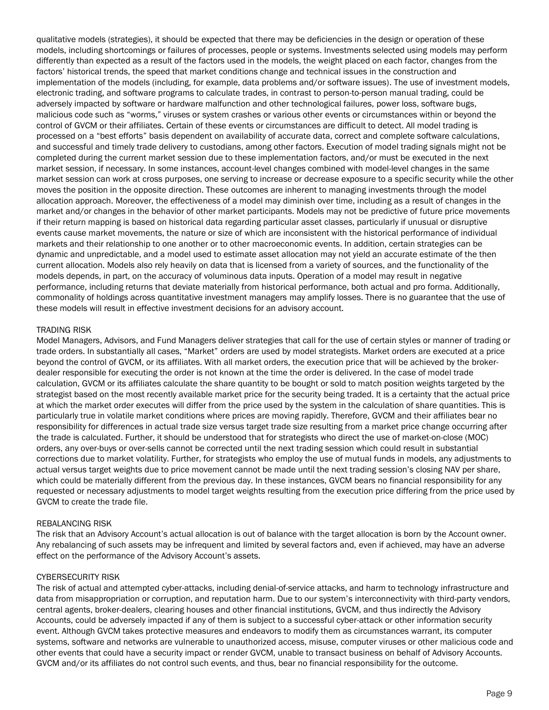qualitative models (strategies), it should be expected that there may be deficiencies in the design or operation of these models, including shortcomings or failures of processes, people or systems. Investments selected using models may perform differently than expected as a result of the factors used in the models, the weight placed on each factor, changes from the factors' historical trends, the speed that market conditions change and technical issues in the construction and implementation of the models (including, for example, data problems and/or software issues). The use of investment models, electronic trading, and software programs to calculate trades, in contrast to person-to-person manual trading, could be adversely impacted by software or hardware malfunction and other technological failures, power loss, software bugs, malicious code such as "worms," viruses or system crashes or various other events or circumstances within or beyond the control of GVCM or their affiliates. Certain of these events or circumstances are difficult to detect. All model trading is processed on a "best efforts" basis dependent on availability of accurate data, correct and complete software calculations, and successful and timely trade delivery to custodians, among other factors. Execution of model trading signals might not be completed during the current market session due to these implementation factors, and/or must be executed in the next market session, if necessary. In some instances, account-level changes combined with model-level changes in the same market session can work at cross purposes, one serving to increase or decrease exposure to a specific security while the other moves the position in the opposite direction. These outcomes are inherent to managing investments through the model allocation approach. Moreover, the effectiveness of a model may diminish over time, including as a result of changes in the market and/or changes in the behavior of other market participants. Models may not be predictive of future price movements if their return mapping is based on historical data regarding particular asset classes, particularly if unusual or disruptive events cause market movements, the nature or size of which are inconsistent with the historical performance of individual markets and their relationship to one another or to other macroeconomic events. In addition, certain strategies can be dynamic and unpredictable, and a model used to estimate asset allocation may not yield an accurate estimate of the then current allocation. Models also rely heavily on data that is licensed from a variety of sources, and the functionality of the models depends, in part, on the accuracy of voluminous data inputs. Operation of a model may result in negative performance, including returns that deviate materially from historical performance, both actual and pro forma. Additionally, commonality of holdings across quantitative investment managers may amplify losses. There is no guarantee that the use of these models will result in effective investment decisions for an advisory account.

#### TRADING RISK

Model Managers, Advisors, and Fund Managers deliver strategies that call for the use of certain styles or manner of trading or trade orders. In substantially all cases, "Market" orders are used by model strategists. Market orders are executed at a price beyond the control of GVCM, or its affiliates. With all market orders, the execution price that will be achieved by the brokerdealer responsible for executing the order is not known at the time the order is delivered. In the case of model trade calculation, GVCM or its affiliates calculate the share quantity to be bought or sold to match position weights targeted by the strategist based on the most recently available market price for the security being traded. It is a certainty that the actual price at which the market order executes will differ from the price used by the system in the calculation of share quantities. This is particularly true in volatile market conditions where prices are moving rapidly. Therefore, GVCM and their affiliates bear no responsibility for differences in actual trade size versus target trade size resulting from a market price change occurring after the trade is calculated. Further, it should be understood that for strategists who direct the use of market-on-close (MOC) orders, any over-buys or over-sells cannot be corrected until the next trading session which could result in substantial corrections due to market volatility. Further, for strategists who employ the use of mutual funds in models, any adjustments to actual versus target weights due to price movement cannot be made until the next trading session's closing NAV per share, which could be materially different from the previous day. In these instances, GVCM bears no financial responsibility for any requested or necessary adjustments to model target weights resulting from the execution price differing from the price used by GVCM to create the trade file.

#### REBALANCING RISK

The risk that an Advisory Account's actual allocation is out of balance with the target allocation is born by the Account owner. Any rebalancing of such assets may be infrequent and limited by several factors and, even if achieved, may have an adverse effect on the performance of the Advisory Account's assets.

#### CYBERSECURITY RISK

The risk of actual and attempted cyber-attacks, including denial-of-service attacks, and harm to technology infrastructure and data from misappropriation or corruption, and reputation harm. Due to our system's interconnectivity with third-party vendors, central agents, broker-dealers, clearing houses and other financial institutions, GVCM, and thus indirectly the Advisory Accounts, could be adversely impacted if any of them is subject to a successful cyber-attack or other information security event. Although GVCM takes protective measures and endeavors to modify them as circumstances warrant, its computer systems, software and networks are vulnerable to unauthorized access, misuse, computer viruses or other malicious code and other events that could have a security impact or render GVCM, unable to transact business on behalf of Advisory Accounts. GVCM and/or its affiliates do not control such events, and thus, bear no financial responsibility for the outcome.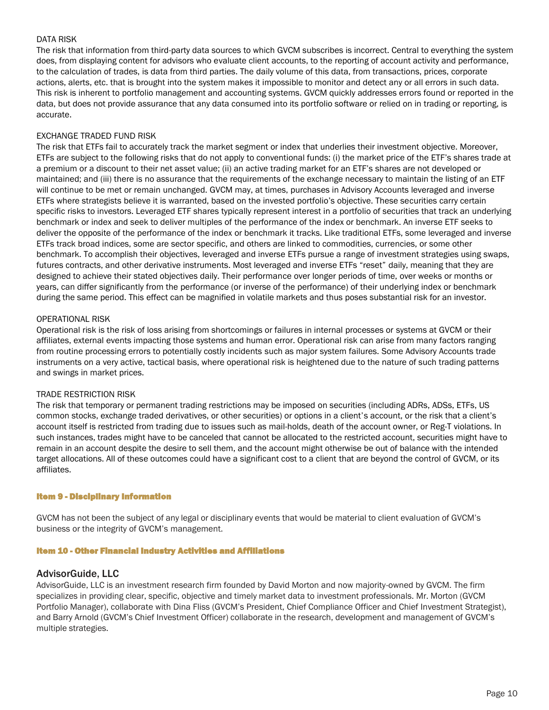#### DATA RISK

The risk that information from third-party data sources to which GVCM subscribes is incorrect. Central to everything the system does, from displaying content for advisors who evaluate client accounts, to the reporting of account activity and performance, to the calculation of trades, is data from third parties. The daily volume of this data, from transactions, prices, corporate actions, alerts, etc. that is brought into the system makes it impossible to monitor and detect any or all errors in such data. This risk is inherent to portfolio management and accounting systems. GVCM quickly addresses errors found or reported in the data, but does not provide assurance that any data consumed into its portfolio software or relied on in trading or reporting, is accurate.

#### EXCHANGE TRADED FUND RISK

The risk that ETFs fail to accurately track the market segment or index that underlies their investment objective. Moreover, ETFs are subject to the following risks that do not apply to conventional funds: (i) the market price of the ETF's shares trade at a premium or a discount to their net asset value; (ii) an active trading market for an ETF's shares are not developed or maintained; and (iii) there is no assurance that the requirements of the exchange necessary to maintain the listing of an ETF will continue to be met or remain unchanged. GVCM may, at times, purchases in Advisory Accounts leveraged and inverse ETFs where strategists believe it is warranted, based on the invested portfolio's objective. These securities carry certain specific risks to investors. Leveraged ETF shares typically represent interest in a portfolio of securities that track an underlying benchmark or index and seek to deliver multiples of the performance of the index or benchmark. An inverse ETF seeks to deliver the opposite of the performance of the index or benchmark it tracks. Like traditional ETFs, some leveraged and inverse ETFs track broad indices, some are sector specific, and others are linked to commodities, currencies, or some other benchmark. To accomplish their objectives, leveraged and inverse ETFs pursue a range of investment strategies using swaps, futures contracts, and other derivative instruments. Most leveraged and inverse ETFs "reset" daily, meaning that they are designed to achieve their stated objectives daily. Their performance over longer periods of time, over weeks or months or years, can differ significantly from the performance (or inverse of the performance) of their underlying index or benchmark during the same period. This effect can be magnified in volatile markets and thus poses substantial risk for an investor.

#### OPERATIONAL RISK

Operational risk is the risk of loss arising from shortcomings or failures in internal processes or systems at GVCM or their affiliates, external events impacting those systems and human error. Operational risk can arise from many factors ranging from routine processing errors to potentially costly incidents such as major system failures. Some Advisory Accounts trade instruments on a very active, tactical basis, where operational risk is heightened due to the nature of such trading patterns and swings in market prices.

#### TRADE RESTRICTION RISK

The risk that temporary or permanent trading restrictions may be imposed on securities (including ADRs, ADSs, ETFs, US common stocks, exchange traded derivatives, or other securities) or options in a client's account, or the risk that a client's account itself is restricted from trading due to issues such as mail-holds, death of the account owner, or Reg-T violations. In such instances, trades might have to be canceled that cannot be allocated to the restricted account, securities might have to remain in an account despite the desire to sell them, and the account might otherwise be out of balance with the intended target allocations. All of these outcomes could have a significant cost to a client that are beyond the control of GVCM, or its affiliates.

#### Item 9 - Disciplinary Information

GVCM has not been the subject of any legal or disciplinary events that would be material to client evaluation of GVCM's business or the integrity of GVCM's management.

#### Item 10 - Other Financial Industry Activities and Affiliations

## AdvisorGuide, LLC

AdvisorGuide, LLC is an investment research firm founded by David Morton and now majority-owned by GVCM. The firm specializes in providing clear, specific, objective and timely market data to investment professionals. Mr. Morton (GVCM Portfolio Manager), collaborate with Dina Fliss (GVCM's President, Chief Compliance Officer and Chief Investment Strategist), and Barry Arnold (GVCM's Chief Investment Officer) collaborate in the research, development and management of GVCM's multiple strategies.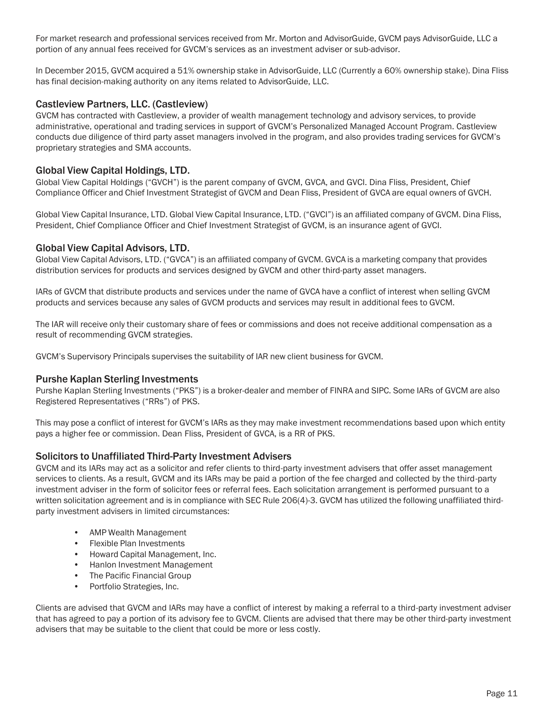For market research and professional services received from Mr. Morton and AdvisorGuide, GVCM pays AdvisorGuide, LLC a portion of any annual fees received for GVCM's services as an investment adviser or sub-advisor.

In December 2015, GVCM acquired a 51% ownership stake in AdvisorGuide, LLC (Currently a 60% ownership stake). Dina Fliss has final decision-making authority on any items related to AdvisorGuide, LLC.

## Castleview Partners, LLC. (Castleview)

GVCM has contracted with Castleview, a provider of wealth management technology and advisory services, to provide administrative, operational and trading services in support of GVCM's Personalized Managed Account Program. Castleview conducts due diligence of third party asset managers involved in the program, and also provides trading services for GVCM's proprietary strategies and SMA accounts.

# Global View Capital Holdings, LTD.

Global View Capital Holdings ("GVCH") is the parent company of GVCM, GVCA, and GVCI. Dina Fliss, President, Chief Compliance Officer and Chief Investment Strategist of GVCM and Dean Fliss, President of GVCA are equal owners of GVCH.

Global View Capital Insurance, LTD. Global View Capital Insurance, LTD. ("GVCI") is an affiliated company of GVCM. Dina Fliss, President, Chief Compliance Officer and Chief Investment Strategist of GVCM, is an insurance agent of GVCI.

## Global View Capital Advisors, LTD.

Global View Capital Advisors, LTD. ("GVCA") is an affiliated company of GVCM. GVCA is a marketing company that provides distribution services for products and services designed by GVCM and other third-party asset managers.

IARs of GVCM that distribute products and services under the name of GVCA have a conflict of interest when selling GVCM products and services because any sales of GVCM products and services may result in additional fees to GVCM.

The IAR will receive only their customary share of fees or commissions and does not receive additional compensation as a result of recommending GVCM strategies.

GVCM's Supervisory Principals supervises the suitability of IAR new client business for GVCM.

## Purshe Kaplan Sterling Investments

Purshe Kaplan Sterling Investments ("PKS") is a broker-dealer and member of FINRA and SIPC. Some IARs of GVCM are also Registered Representatives ("RRs") of PKS.

This may pose a conflict of interest for GVCM's IARs as they may make investment recommendations based upon which entity pays a higher fee or commission. Dean Fliss, President of GVCA, is a RR of PKS.

## Solicitors to Unaffiliated Third-Party Investment Advisers

GVCM and its IARs may act as a solicitor and refer clients to third-party investment advisers that offer asset management services to clients. As a result, GVCM and its IARs may be paid a portion of the fee charged and collected by the third-party investment adviser in the form of solicitor fees or referral fees. Each solicitation arrangement is performed pursuant to a written solicitation agreement and is in compliance with SEC Rule 206(4)-3. GVCM has utilized the following unaffiliated thirdparty investment advisers in limited circumstances:

- AMP Wealth Management
- Flexible Plan Investments
- Howard Capital Management, Inc.
- Hanlon Investment Management
- The Pacific Financial Group
- Portfolio Strategies, Inc.

Clients are advised that GVCM and IARs may have a conflict of interest by making a referral to a third-party investment adviser that has agreed to pay a portion of its advisory fee to GVCM. Clients are advised that there may be other third-party investment advisers that may be suitable to the client that could be more or less costly.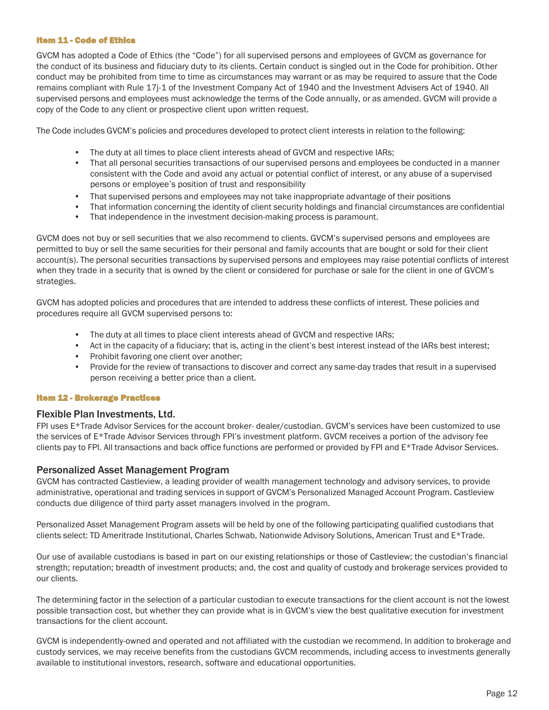#### Item 11 - Code of Ethics

GVCM has adopted a Code of Ethics (the "Code") for all supervised persons and employees of GVCM as governance for the conduct of its business and fiduciary duty to its clients. Certain conduct is singled out in the Code for prohibition. Other conduct may be prohibited from time to time as circumstances may warrant or as may be required to assure that the Code remains compliant with Rule 17j-1 of the Investment Company Act of 1940 and the Investment Advisers Act of 1940. All supervised persons and employees must acknowledge the terms of the Code annually, or as amended. GVCM will provide a copy of the Code to any client or prospective client upon written request.

The Code includes GVCM's policies and procedures developed to protect client interests in relation to the following:

- The duty at all times to place client interests ahead of GVCM and respective IARs;
- That all personal securities transactions of our supervised persons and employees be conducted in a manner consistent with the Code and avoid any actual or potential conflict of interest, or any abuse of a supervised persons or employee's position of trust and responsibility
- That supervised persons and employees may not take inappropriate advantage of their positions
- That information concerning the identity of client security holdings and financial circumstances are confidential
- That independence in the investment decision-making process is paramount.

GVCM does not buy or sell securities that we also recommend to clients. GVCM's supervised persons and employees are permitted to buy or sell the same securities for their personal and family accounts that are bought or sold for their client account(s). The personal securities transactions by supervised persons and employees may raise potential conflicts of interest when they trade in a security that is owned by the client or considered for purchase or sale for the client in one of GVCM's strategies.

GVCM has adopted policies and procedures that are intended to address these conflicts of interest. These policies and procedures require all GVCM supervised persons to:

- The duty at all times to place client interests ahead of GVCM and respective IARs;
- Act in the capacity of a fiduciary; that is, acting in the client's best interest instead of the IARs best interest;
- Prohibit favoring one client over another;
- Provide for the review of transactions to discover and correct any same-day trades that result in a supervised person receiving a better price than a client.

#### Item 12 - Brokerage Practices

#### Flexible Plan Investments, Ltd.

FPI uses E\*Trade Advisor Services for the account broker- dealer/custodian. GVCM's services have been customized to use the services of E\*Trade Advisor Services through FPI's investment platform. GVCM receives a portion of the advisory fee clients pay to FPI. All transactions and back office functions are performed or provided by FPI and E\*Trade Advisor Services.

## Personalized Asset Management Program

GVCM has contracted Castleview, a leading provider of wealth management technology and advisory services, to provide administrative, operational and trading services in support of GVCM's Personalized Managed Account Program. Castleview conducts due diligence of third party asset managers involved in the program.

Personalized Asset Management Program assets will be held by one of the following participating qualified custodians that clients select: TD Ameritrade Institutional, Charles Schwab, Nationwide Advisory Solutions, American Trust and E\*Trade.

Our use of available custodians is based in part on our existing relationships or those of Castleview; the custodian's financial strength; reputation; breadth of investment products; and, the cost and quality of custody and brokerage services provided to our clients.

The determining factor in the selection of a particular custodian to execute transactions for the client account is not the lowest possible transaction cost, but whether they can provide what is in GVCM's view the best qualitative execution for investment transactions for the client account.

GVCM is independently-owned and operated and not affiliated with the custodian we recommend. In addition to brokerage and custody services, we may receive benefits from the custodians GVCM recommends, including access to investments generally available to institutional investors, research, software and educational opportunities.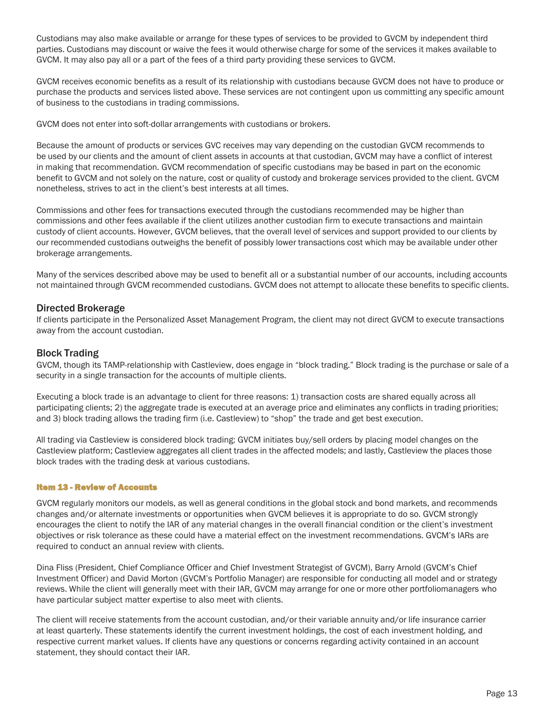Custodians may also make available or arrange for these types of services to be provided to GVCM by independent third parties. Custodians may discount or waive the fees it would otherwise charge for some of the services it makes available to GVCM. It may also pay all or a part of the fees of a third party providing these services to GVCM.

GVCM receives economic benefits as a result of its relationship with custodians because GVCM does not have to produce or purchase the products and services listed above. These services are not contingent upon us committing any specific amount of business to the custodians in trading commissions.

GVCM does not enter into soft-dollar arrangements with custodians or brokers.

Because the amount of products or services GVC receives may vary depending on the custodian GVCM recommends to be used by our clients and the amount of client assets in accounts at that custodian, GVCM may have a conflict of interest in making that recommendation. GVCM recommendation of specific custodians may be based in part on the economic benefit to GVCM and not solely on the nature, cost or quality of custody and brokerage services provided to the client. GVCM nonetheless, strives to act in the client's best interests at all times.

Commissions and other fees for transactions executed through the custodians recommended may be higher than commissions and other fees available if the client utilizes another custodian firm to execute transactions and maintain custody of client accounts. However, GVCM believes, that the overall level of services and support provided to our clients by our recommended custodians outweighs the benefit of possibly lower transactions cost which may be available under other brokerage arrangements.

Many of the services described above may be used to benefit all or a substantial number of our accounts, including accounts not maintained through GVCM recommended custodians. GVCM does not attempt to allocate these benefits to specific clients.

## Directed Brokerage

If clients participate in the Personalized Asset Management Program, the client may not direct GVCM to execute transactions away from the account custodian.

## Block Trading

GVCM, though its TAMP-relationship with Castleview, does engage in "block trading." Block trading is the purchase or sale of a security in a single transaction for the accounts of multiple clients.

Executing a block trade is an advantage to client for three reasons: 1) transaction costs are shared equally across all participating clients; 2) the aggregate trade is executed at an average price and eliminates any conflicts in trading priorities; and 3) block trading allows the trading firm (i.e. Castleview) to "shop" the trade and get best execution.

All trading via Castleview is considered block trading: GVCM initiates buy/sell orders by placing model changes on the Castleview platform; Castleview aggregates all client trades in the affected models; and lastly, Castleview the places those block trades with the trading desk at various custodians.

## Item 13 - Review of Accounts

GVCM regularly monitors our models, as well as general conditions in the global stock and bond markets, and recommends changes and/or alternate investments or opportunities when GVCM believes it is appropriate to do so. GVCM strongly encourages the client to notify the IAR of any material changes in the overall financial condition or the client's investment objectives or risk tolerance as these could have a material effect on the investment recommendations. GVCM's IARs are required to conduct an annual review with clients.

Dina Fliss (President, Chief Compliance Officer and Chief Investment Strategist of GVCM), Barry Arnold (GVCM's Chief Investment Officer) and David Morton (GVCM's Portfolio Manager) are responsible for conducting all model and or strategy reviews. While the client will generally meet with their IAR, GVCM may arrange for one or more other portfoliomanagers who have particular subject matter expertise to also meet with clients.

The client will receive statements from the account custodian, and/or their variable annuity and/or life insurance carrier at least quarterly. These statements identify the current investment holdings, the cost of each investment holding, and respective current market values. If clients have any questions or concerns regarding activity contained in an account statement, they should contact their IAR.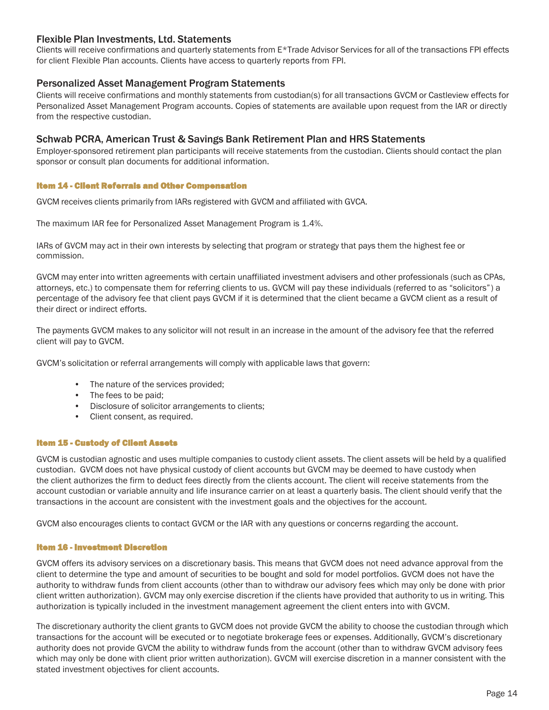# Flexible Plan Investments, Ltd. Statements

Clients will receive confirmations and quarterly statements from E\*Trade Advisor Services for all of the transactions FPI effects for client Flexible Plan accounts. Clients have access to quarterly reports from FPI.

## Personalized Asset Management Program Statements

Clients will receive confirmations and monthly statements from custodian(s) for all transactions GVCM or Castleview effects for Personalized Asset Management Program accounts. Copies of statements are available upon request from the IAR or directly from the respective custodian.

## Schwab PCRA, American Trust & Savings Bank Retirement Plan and HRS Statements

Employer-sponsored retirement plan participants will receive statements from the custodian. Clients should contact the plan sponsor or consult plan documents for additional information.

#### Item 14 - Client Referrals and Other Compensation

GVCM receives clients primarily from IARs registered with GVCM and affiliated with GVCA.

The maximum IAR fee for Personalized Asset Management Program is 1.4%.

IARs of GVCM may act in their own interests by selecting that program or strategy that pays them the highest fee or commission.

GVCM may enter into written agreements with certain unaffiliated investment advisers and other professionals (such as CPAs, attorneys, etc.) to compensate them for referring clients to us. GVCM will pay these individuals (referred to as "solicitors") a percentage of the advisory fee that client pays GVCM if it is determined that the client became a GVCM client as a result of their direct or indirect efforts.

The payments GVCM makes to any solicitor will not result in an increase in the amount of the advisory fee that the referred client will pay to GVCM.

GVCM's solicitation or referral arrangements will comply with applicable laws that govern:

- The nature of the services provided;
- The fees to be paid;
- Disclosure of solicitor arrangements to clients;
- Client consent, as required.

#### Item 15 - Custody of Client Assets

GVCM is custodian agnostic and uses multiple companies to custody client assets. The client assets will be held by a qualified custodian. GVCM does not have physical custody of client accounts but GVCM may be deemed to have custody when the client authorizes the firm to deduct fees directly from the clients account. The client will receive statements from the account custodian or variable annuity and life insurance carrier on at least a quarterly basis. The client should verify that the transactions in the account are consistent with the investment goals and the objectives for the account.

GVCM also encourages clients to contact GVCM or the IAR with any questions or concerns regarding the account.

#### Item 16 - Investment Discretion

GVCM offers its advisory services on a discretionary basis. This means that GVCM does not need advance approval from the client to determine the type and amount of securities to be bought and sold for model portfolios. GVCM does not have the authority to withdraw funds from client accounts (other than to withdraw our advisory fees which may only be done with prior client written authorization). GVCM may only exercise discretion if the clients have provided that authority to us in writing. This authorization is typically included in the investment management agreement the client enters into with GVCM.

The discretionary authority the client grants to GVCM does not provide GVCM the ability to choose the custodian through which transactions for the account will be executed or to negotiate brokerage fees or expenses. Additionally, GVCM's discretionary authority does not provide GVCM the ability to withdraw funds from the account (other than to withdraw GVCM advisory fees which may only be done with client prior written authorization). GVCM will exercise discretion in a manner consistent with the stated investment objectives for client accounts.